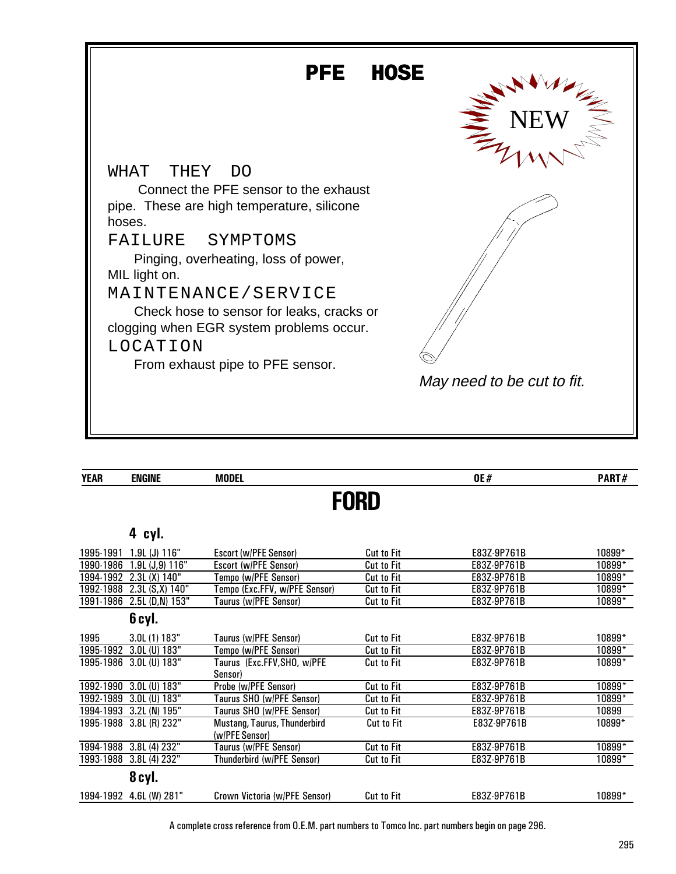

| <b>YEAR</b> | <b>ENGINE</b>           | <b>MODEL</b>                                   |                   | 0E#         | PART#  |  |  |  |
|-------------|-------------------------|------------------------------------------------|-------------------|-------------|--------|--|--|--|
| <b>FORD</b> |                         |                                                |                   |             |        |  |  |  |
|             |                         |                                                |                   |             |        |  |  |  |
|             | 4 cyl.                  |                                                |                   |             |        |  |  |  |
| 1995-1991   | $1.9L$ (J) $116"$       | Escort (w/PFE Sensor)                          | <b>Cut to Fit</b> | E83Z-9P761B | 10899* |  |  |  |
| 1990-1986   | 1.9L (J,9) 116"         | Escort (w/PFE Sensor)                          | <b>Cut to Fit</b> | E83Z-9P761B | 10899* |  |  |  |
| 1994-1992   | 2.3L(X) 140"            | Tempo (w/PFE Sensor)                           | <b>Cut to Fit</b> | E83Z-9P761B | 10899* |  |  |  |
| 1992-1988   | $2.3L(S,X)$ 140"        | Tempo (Exc.FFV, w/PFE Sensor)                  | <b>Cut to Fit</b> | E83Z-9P761B | 10899* |  |  |  |
| 1991-1986   | $2.5L$ (D,N) $153"$     | Taurus (w/PFE Sensor)                          | Cut to Fit        | E83Z-9P761B | 10899* |  |  |  |
|             | 6 cyl.                  |                                                |                   |             |        |  |  |  |
| 1995        | 3.0L (1) 183"           | Taurus (w/PFE Sensor)                          | Cut to Fit        | E83Z-9P761B | 10899* |  |  |  |
| 1995-1992   | 3.0L (U) 183"           | Tempo (w/PFE Sensor)                           | <b>Cut to Fit</b> | E83Z-9P761B | 10899* |  |  |  |
|             | 1995-1986 3.0L (U) 183" | Taurus (Exc.FFV,SHO, w/PFE<br>Sensor)          | <b>Cut to Fit</b> | E83Z-9P761B | 10899* |  |  |  |
| 1992-1990   | $3.0L$ (U) $183"$       | Probe (w/PFE Sensor)                           | Cut to Fit        | E83Z-9P761B | 10899* |  |  |  |
| 1992-1989   | 3.0L (U) 183"           | Taurus SHO (w/PFE Sensor)                      | Cut to Fit        | E83Z-9P761B | 10899* |  |  |  |
| 1994-1993   | 3.2L (N) 195"           | Taurus SHO (w/PFE Sensor)                      | <b>Cut to Fit</b> | E83Z-9P761B | 10899  |  |  |  |
|             | 1995-1988 3.8L (R) 232" | Mustang, Taurus, Thunderbird<br>(w/PFE Sensor) | <b>Cut to Fit</b> | E83Z-9P761B | 10899* |  |  |  |
| 1994-1988   | 3.8L (4) 232"           | Taurus (w/PFE Sensor)                          | <b>Cut to Fit</b> | E83Z-9P761B | 10899* |  |  |  |
|             | 1993-1988 3.8L (4) 232" | Thunderbird (w/PFE Sensor)                     | <b>Cut to Fit</b> | E83Z-9P761B | 10899* |  |  |  |
|             | 8 cyl.                  |                                                |                   |             |        |  |  |  |
|             | 1994-1992 4.6L (W) 281" | Crown Victoria (w/PFE Sensor)                  | <b>Cut to Fit</b> | E83Z-9P761B | 10899* |  |  |  |

A complete cross reference from O.E.M. part numbers to Tomco Inc. part numbers begin on page 296.